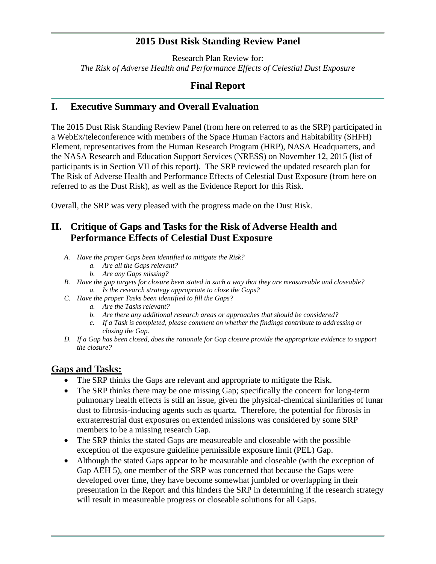## **2015 Dust Risk Standing Review Panel**

Research Plan Review for: *The Risk of Adverse Health and Performance Effects of Celestial Dust Exposure*

# **Final Report**

## **I. Executive Summary and Overall Evaluation**

The 2015 Dust Risk Standing Review Panel (from here on referred to as the SRP) participated in a WebEx/teleconference with members of the Space Human Factors and Habitability (SHFH) Element, representatives from the Human Research Program (HRP), NASA Headquarters, and the NASA Research and Education Support Services (NRESS) on November 12, 2015 (list of participants is in Section VII of this report). The SRP reviewed the updated research plan for The Risk of Adverse Health and Performance Effects of Celestial Dust Exposure (from here on referred to as the Dust Risk), as well as the Evidence Report for this Risk.

Overall, the SRP was very pleased with the progress made on the Dust Risk.

# **II. Critique of Gaps and Tasks for the Risk of Adverse Health and Performance Effects of Celestial Dust Exposure**

- *A. Have the proper Gaps been identified to mitigate the Risk?*
	- *a. Are all the Gaps relevant?*
	- *b. Are any Gaps missing?*
- *B. Have the gap targets for closure been stated in such a way that they are measureable and closeable? a. Is the research strategy appropriate to close the Gaps?*
- *C. Have the proper Tasks been identified to fill the Gaps?*
	- *a. Are the Tasks relevant?*
	- *b. Are there any additional research areas or approaches that should be considered?*
	- *c. If a Task is completed, please comment on whether the findings contribute to addressing or closing the Gap.*
- *D. If a Gap has been closed, does the rationale for Gap closure provide the appropriate evidence to support the closure?*

### **Gaps and Tasks:**

- The SRP thinks the Gaps are relevant and appropriate to mitigate the Risk.
- The SRP thinks there may be one missing Gap; specifically the concern for long-term pulmonary health effects is still an issue, given the physical-chemical similarities of lunar dust to fibrosis-inducing agents such as quartz. Therefore, the potential for fibrosis in extraterrestrial dust exposures on extended missions was considered by some SRP members to be a missing research Gap.
- The SRP thinks the stated Gaps are measureable and closeable with the possible exception of the exposure guideline permissible exposure limit (PEL) Gap.
- Although the stated Gaps appear to be measurable and closeable (with the exception of Gap AEH 5), one member of the SRP was concerned that because the Gaps were developed over time, they have become somewhat jumbled or overlapping in their presentation in the Report and this hinders the SRP in determining if the research strategy will result in measureable progress or closeable solutions for all Gaps.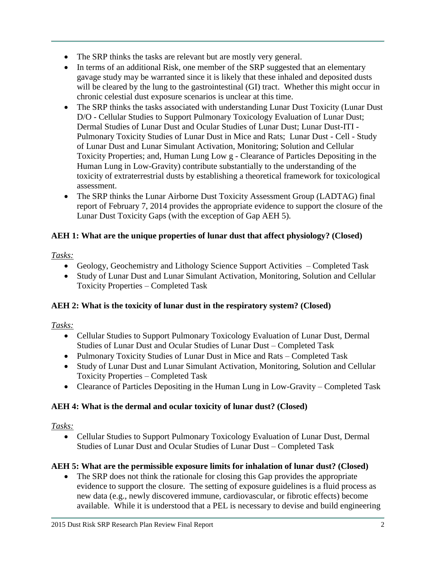- The SRP thinks the tasks are relevant but are mostly very general.
- In terms of an additional Risk, one member of the SRP suggested that an elementary gavage study may be warranted since it is likely that these inhaled and deposited dusts will be cleared by the lung to the gastrointestinal (GI) tract. Whether this might occur in chronic celestial dust exposure scenarios is unclear at this time.
- The SRP thinks the tasks associated with understanding Lunar Dust Toxicity (Lunar Dust D/O - Cellular Studies to Support Pulmonary Toxicology Evaluation of Lunar Dust; Dermal Studies of Lunar Dust and Ocular Studies of Lunar Dust; Lunar Dust-ITI - Pulmonary Toxicity Studies of Lunar Dust in Mice and Rats; Lunar Dust - Cell - Study of Lunar Dust and Lunar Simulant Activation, Monitoring; Solution and Cellular Toxicity Properties; and, Human Lung Low g - Clearance of Particles Depositing in the Human Lung in Low-Gravity) contribute substantially to the understanding of the toxicity of extraterrestrial dusts by establishing a theoretical framework for toxicological assessment.
- The SRP thinks the Lunar Airborne Dust Toxicity Assessment Group (LADTAG) final report of February 7, 2014 provides the appropriate evidence to support the closure of the Lunar Dust Toxicity Gaps (with the exception of Gap AEH 5).

## **AEH 1: What are the unique properties of lunar dust that affect physiology? (Closed)**

# *Tasks:*

- Geology, Geochemistry and Lithology Science Support Activities Completed Task
- Study of Lunar Dust and Lunar Simulant Activation, Monitoring, Solution and Cellular Toxicity Properties – Completed Task

## **AEH 2: What is the toxicity of lunar dust in the respiratory system? (Closed)**

# *Tasks:*

- Cellular Studies to Support Pulmonary Toxicology Evaluation of Lunar Dust, Dermal Studies of Lunar Dust and Ocular Studies of Lunar Dust – Completed Task
- Pulmonary Toxicity Studies of Lunar Dust in Mice and Rats Completed Task
- Study of Lunar Dust and Lunar Simulant Activation, Monitoring, Solution and Cellular Toxicity Properties – Completed Task
- Clearance of Particles Depositing in the Human Lung in Low-Gravity Completed Task

## **AEH 4: What is the dermal and ocular toxicity of lunar dust? (Closed)**

## *Tasks:*

 Cellular Studies to Support Pulmonary Toxicology Evaluation of Lunar Dust, Dermal Studies of Lunar Dust and Ocular Studies of Lunar Dust – Completed Task

## **AEH 5: What are the permissible exposure limits for inhalation of lunar dust? (Closed)**

• The SRP does not think the rationale for closing this Gap provides the appropriate evidence to support the closure. The setting of exposure guidelines is a fluid process as new data (e.g., newly discovered immune, cardiovascular, or fibrotic effects) become available. While it is understood that a PEL is necessary to devise and build engineering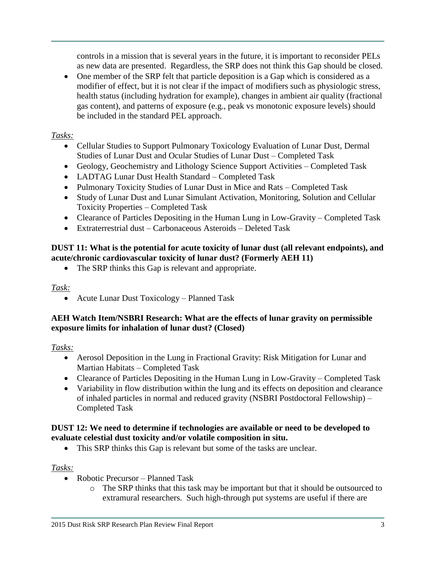controls in a mission that is several years in the future, it is important to reconsider PELs as new data are presented. Regardless, the SRP does not think this Gap should be closed.

 One member of the SRP felt that particle deposition is a Gap which is considered as a modifier of effect, but it is not clear if the impact of modifiers such as physiologic stress, health status (including hydration for example), changes in ambient air quality (fractional gas content), and patterns of exposure (e.g., peak vs monotonic exposure levels) should be included in the standard PEL approach.

### *Tasks:*

- Cellular Studies to Support Pulmonary Toxicology Evaluation of Lunar Dust, Dermal Studies of Lunar Dust and Ocular Studies of Lunar Dust – Completed Task
- Geology, Geochemistry and Lithology Science Support Activities Completed Task
- LADTAG Lunar Dust Health Standard Completed Task
- Pulmonary Toxicity Studies of Lunar Dust in Mice and Rats Completed Task
- Study of Lunar Dust and Lunar Simulant Activation, Monitoring, Solution and Cellular Toxicity Properties – Completed Task
- Clearance of Particles Depositing in the Human Lung in Low-Gravity Completed Task
- Extraterrestrial dust Carbonaceous Asteroids Deleted Task

### **DUST 11: What is the potential for acute toxicity of lunar dust (all relevant endpoints), and acute/chronic cardiovascular toxicity of lunar dust? (Formerly AEH 11)**

• The SRP thinks this Gap is relevant and appropriate.

### *Task:*

• Acute Lunar Dust Toxicology – Planned Task

### **AEH Watch Item/NSBRI Research: What are the effects of lunar gravity on permissible exposure limits for inhalation of lunar dust? (Closed)**

### *Tasks:*

- Aerosol Deposition in the Lung in Fractional Gravity: Risk Mitigation for Lunar and Martian Habitats – Completed Task
- Clearance of Particles Depositing in the Human Lung in Low-Gravity Completed Task
- Variability in flow distribution within the lung and its effects on deposition and clearance of inhaled particles in normal and reduced gravity (NSBRI Postdoctoral Fellowship) – Completed Task

### **DUST 12: We need to determine if technologies are available or need to be developed to evaluate celestial dust toxicity and/or volatile composition in situ.**

• This SRP thinks this Gap is relevant but some of the tasks are unclear.

### *Tasks:*

- Robotic Precursor Planned Task
	- o The SRP thinks that this task may be important but that it should be outsourced to extramural researchers. Such high-through put systems are useful if there are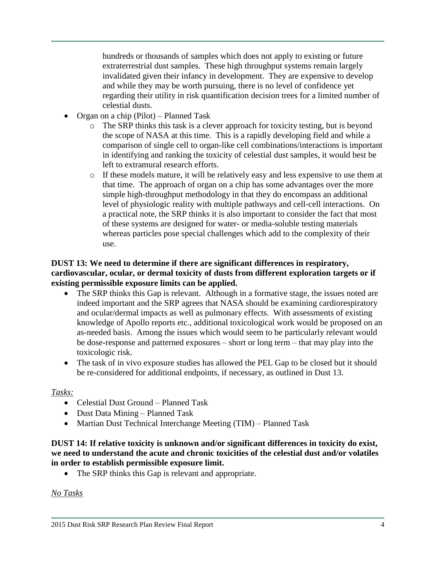hundreds or thousands of samples which does not apply to existing or future extraterrestrial dust samples. These high throughput systems remain largely invalidated given their infancy in development. They are expensive to develop and while they may be worth pursuing, there is no level of confidence yet regarding their utility in risk quantification decision trees for a limited number of celestial dusts.

- Organ on a chip (Pilot) Planned Task
	- o The SRP thinks this task is a clever approach for toxicity testing, but is beyond the scope of NASA at this time. This is a rapidly developing field and while a comparison of single cell to organ-like cell combinations/interactions is important in identifying and ranking the toxicity of celestial dust samples, it would best be left to extramural research efforts.
	- o If these models mature, it will be relatively easy and less expensive to use them at that time. The approach of organ on a chip has some advantages over the more simple high-throughput methodology in that they do encompass an additional level of physiologic reality with multiple pathways and cell-cell interactions. On a practical note, the SRP thinks it is also important to consider the fact that most of these systems are designed for water- or media-soluble testing materials whereas particles pose special challenges which add to the complexity of their use.

### **DUST 13: We need to determine if there are significant differences in respiratory, cardiovascular, ocular, or dermal toxicity of dusts from different exploration targets or if existing permissible exposure limits can be applied.**

- The SRP thinks this Gap is relevant. Although in a formative stage, the issues noted are indeed important and the SRP agrees that NASA should be examining cardiorespiratory and ocular/dermal impacts as well as pulmonary effects. With assessments of existing knowledge of Apollo reports etc., additional toxicological work would be proposed on an as-needed basis. Among the issues which would seem to be particularly relevant would be dose-response and patterned exposures – short or long term – that may play into the toxicologic risk.
- The task of in vivo exposure studies has allowed the PEL Gap to be closed but it should be re-considered for additional endpoints, if necessary, as outlined in Dust 13.

### *Tasks:*

- Celestial Dust Ground Planned Task
- Dust Data Mining Planned Task
- Martian Dust Technical Interchange Meeting (TIM) Planned Task

#### **DUST 14: If relative toxicity is unknown and/or significant differences in toxicity do exist, we need to understand the acute and chronic toxicities of the celestial dust and/or volatiles in order to establish permissible exposure limit.**

• The SRP thinks this Gap is relevant and appropriate.

### *No Tasks*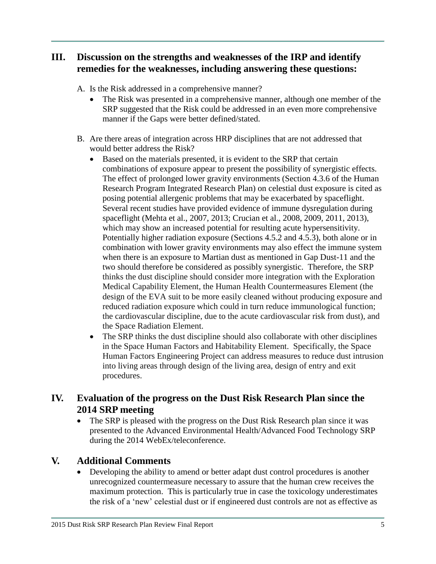# **III. Discussion on the strengths and weaknesses of the IRP and identify remedies for the weaknesses, including answering these questions:**

- A. Is the Risk addressed in a comprehensive manner?
	- The Risk was presented in a comprehensive manner, although one member of the SRP suggested that the Risk could be addressed in an even more comprehensive manner if the Gaps were better defined/stated.
- B. Are there areas of integration across HRP disciplines that are not addressed that would better address the Risk?
	- Based on the materials presented, it is evident to the SRP that certain combinations of exposure appear to present the possibility of synergistic effects. The effect of prolonged lower gravity environments (Section 4.3.6 of the Human Research Program Integrated Research Plan) on celestial dust exposure is cited as posing potential allergenic problems that may be exacerbated by spaceflight. Several recent studies have provided evidence of immune dysregulation during spaceflight (Mehta et al., 2007, 2013; Crucian et al., 2008, 2009, 2011, 2013), which may show an increased potential for resulting acute hypersensitivity. Potentially higher radiation exposure (Sections 4.5.2 and 4.5.3), both alone or in combination with lower gravity environments may also effect the immune system when there is an exposure to Martian dust as mentioned in Gap Dust-11 and the two should therefore be considered as possibly synergistic. Therefore, the SRP thinks the dust discipline should consider more integration with the Exploration Medical Capability Element, the Human Health Countermeasures Element (the design of the EVA suit to be more easily cleaned without producing exposure and reduced radiation exposure which could in turn reduce immunological function; the cardiovascular discipline, due to the acute cardiovascular risk from dust), and the Space Radiation Element.
	- The SRP thinks the dust discipline should also collaborate with other disciplines in the Space Human Factors and Habitability Element. Specifically, the Space Human Factors Engineering Project can address measures to reduce dust intrusion into living areas through design of the living area, design of entry and exit procedures.

## **IV. Evaluation of the progress on the Dust Risk Research Plan since the 2014 SRP meeting**

• The SRP is pleased with the progress on the Dust Risk Research plan since it was presented to the Advanced Environmental Health/Advanced Food Technology SRP during the 2014 WebEx/teleconference.

## **V. Additional Comments**

 Developing the ability to amend or better adapt dust control procedures is another unrecognized countermeasure necessary to assure that the human crew receives the maximum protection. This is particularly true in case the toxicology underestimates the risk of a 'new' celestial dust or if engineered dust controls are not as effective as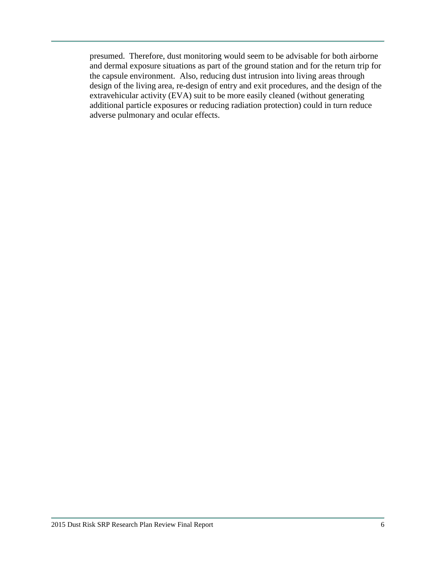presumed. Therefore, dust monitoring would seem to be advisable for both airborne and dermal exposure situations as part of the ground station and for the return trip for the capsule environment. Also, reducing dust intrusion into living areas through design of the living area, re-design of entry and exit procedures, and the design of the extravehicular activity (EVA) suit to be more easily cleaned (without generating additional particle exposures or reducing radiation protection) could in turn reduce adverse pulmonary and ocular effects.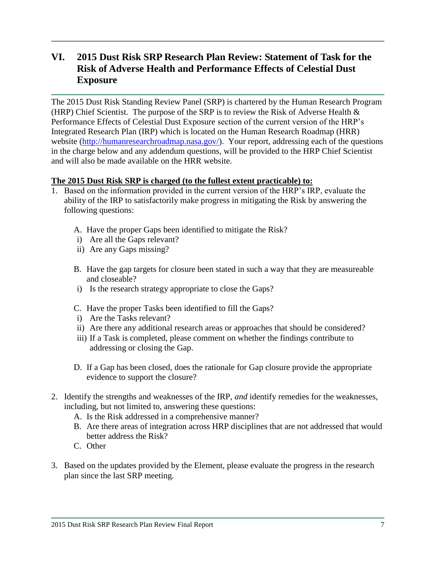# **VI. 2015 Dust Risk SRP Research Plan Review: Statement of Task for the Risk of Adverse Health and Performance Effects of Celestial Dust Exposure**

The 2015 Dust Risk Standing Review Panel (SRP) is chartered by the Human Research Program (HRP) Chief Scientist. The purpose of the SRP is to review the Risk of Adverse Health  $\&$ Performance Effects of Celestial Dust Exposure section of the current version of the HRP's Integrated Research Plan (IRP) which is located on the Human Research Roadmap (HRR) website [\(http://humanresearchroadmap.nasa.gov/\)](http://humanresearchroadmap.nasa.gov/). Your report, addressing each of the questions in the charge below and any addendum questions, will be provided to the HRP Chief Scientist and will also be made available on the HRR website.

### **The 2015 Dust Risk SRP is charged (to the fullest extent practicable) to:**

- 1. Based on the information provided in the current version of the HRP's IRP, evaluate the ability of the IRP to satisfactorily make progress in mitigating the Risk by answering the following questions:
	- A. Have the proper Gaps been identified to mitigate the Risk?
	- i) Are all the Gaps relevant?
	- ii) Are any Gaps missing?
	- B. Have the gap targets for closure been stated in such a way that they are measureable and closeable?
	- i) Is the research strategy appropriate to close the Gaps?
	- C. Have the proper Tasks been identified to fill the Gaps?
	- i) Are the Tasks relevant?
	- ii) Are there any additional research areas or approaches that should be considered?
	- iii) If a Task is completed, please comment on whether the findings contribute to addressing or closing the Gap.
	- D. If a Gap has been closed, does the rationale for Gap closure provide the appropriate evidence to support the closure?
- 2. Identify the strengths and weaknesses of the IRP, *and* identify remedies for the weaknesses, including, but not limited to, answering these questions:
	- A. Is the Risk addressed in a comprehensive manner?
	- B. Are there areas of integration across HRP disciplines that are not addressed that would better address the Risk?
	- C. Other
- 3. Based on the updates provided by the Element, please evaluate the progress in the research plan since the last SRP meeting.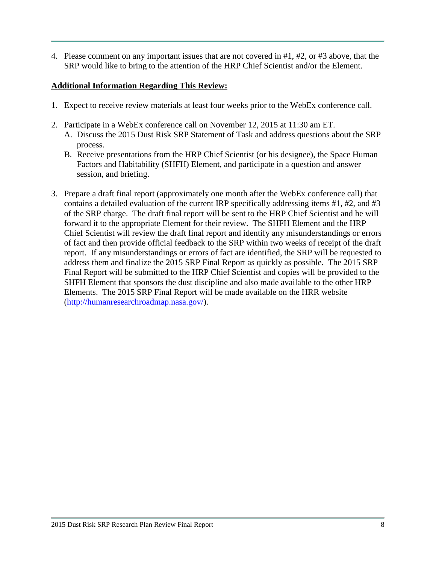4. Please comment on any important issues that are not covered in #1, #2, or #3 above, that the SRP would like to bring to the attention of the HRP Chief Scientist and/or the Element.

### **Additional Information Regarding This Review:**

- 1. Expect to receive review materials at least four weeks prior to the WebEx conference call.
- 2. Participate in a WebEx conference call on November 12, 2015 at 11:30 am ET.
	- A. Discuss the 2015 Dust Risk SRP Statement of Task and address questions about the SRP process.
	- B. Receive presentations from the HRP Chief Scientist (or his designee), the Space Human Factors and Habitability (SHFH) Element, and participate in a question and answer session, and briefing.
- 3. Prepare a draft final report (approximately one month after the WebEx conference call) that contains a detailed evaluation of the current IRP specifically addressing items #1, #2, and #3 of the SRP charge. The draft final report will be sent to the HRP Chief Scientist and he will forward it to the appropriate Element for their review. The SHFH Element and the HRP Chief Scientist will review the draft final report and identify any misunderstandings or errors of fact and then provide official feedback to the SRP within two weeks of receipt of the draft report. If any misunderstandings or errors of fact are identified, the SRP will be requested to address them and finalize the 2015 SRP Final Report as quickly as possible. The 2015 SRP Final Report will be submitted to the HRP Chief Scientist and copies will be provided to the SHFH Element that sponsors the dust discipline and also made available to the other HRP Elements. The 2015 SRP Final Report will be made available on the HRR website [\(http://humanresearchroadmap.nasa.gov/\)](http://humanresearchroadmap.nasa.gov/).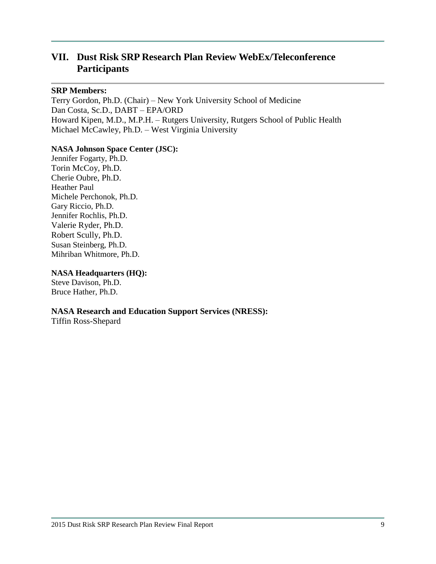# **VII. Dust Risk SRP Research Plan Review WebEx/Teleconference Participants**

#### **SRP Members:**

Terry Gordon, Ph.D. (Chair) – New York University School of Medicine Dan Costa, Sc.D., DABT – EPA/ORD Howard Kipen, M.D., M.P.H. – Rutgers University, Rutgers School of Public Health Michael McCawley, Ph.D. – West Virginia University

#### **NASA Johnson Space Center (JSC):**

Jennifer Fogarty, Ph.D. Torin McCoy, Ph.D. Cherie Oubre, Ph.D. Heather Paul Michele Perchonok, Ph.D. Gary Riccio, Ph.D. Jennifer Rochlis, Ph.D. Valerie Ryder, Ph.D. Robert Scully, Ph.D. Susan Steinberg, Ph.D. Mihriban Whitmore, Ph.D.

#### **NASA Headquarters (HQ):**

Steve Davison, Ph.D. Bruce Hather, Ph.D.

#### **NASA Research and Education Support Services (NRESS):**

Tiffin Ross-Shepard